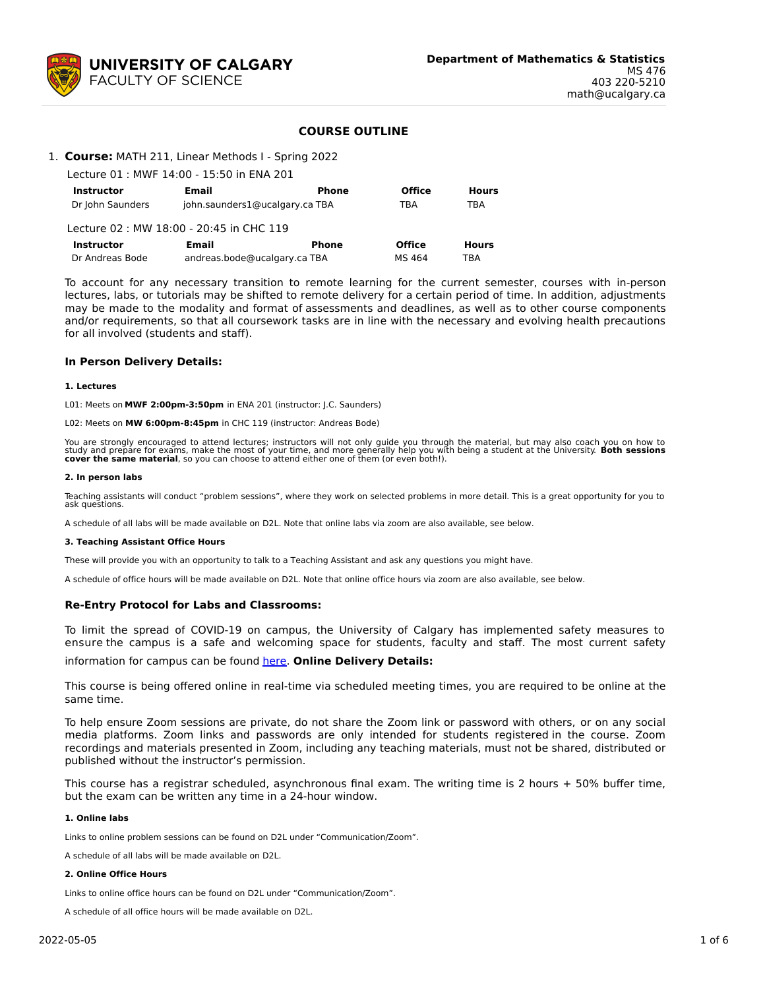

## **COURSE OUTLINE**

## 1. **Course:** MATH 211, Linear Methods I - Spring 2022

| Lecture 01 : MWF 14:00 - 15:50 in ENA 201 |                                |              |               |              |  |  |  |  |
|-------------------------------------------|--------------------------------|--------------|---------------|--------------|--|--|--|--|
| <b>Instructor</b>                         | Email                          | <b>Phone</b> | <b>Office</b> | <b>Hours</b> |  |  |  |  |
| Dr John Saunders                          | john.saunders1@ucalgary.ca TBA |              | TBA           | TBA          |  |  |  |  |
| Lecture 02 : MW 18:00 - 20:45 in CHC 119  |                                |              |               |              |  |  |  |  |
| <b>Instructor</b>                         | Email                          | <b>Phone</b> | <b>Office</b> | <b>Hours</b> |  |  |  |  |
| Dr Andreas Bode                           | andreas.bode@ucalgary.ca TBA   | MS 464       | TBA           |              |  |  |  |  |

To account for any necessary transition to remote learning for the current semester, courses with in-person lectures, labs, or tutorials may be shifted to remote delivery for a certain period of time. In addition, adjustments may be made to the modality and format of assessments and deadlines, as well as to other course components and/or requirements, so that all coursework tasks are in line with the necessary and evolving health precautions for all involved (students and staff).

#### **In Person Delivery Details:**

#### **1. Lectures**

L01: Meets on **MWF 2:00pm-3:50pm** in ENA 201 (instructor: J.C. Saunders)

L02: Meets on **MW 6:00pm-8:45pm** in CHC 119 (instructor: Andreas Bode)

You are strongly encouraged to attend lectures; instructors will not only guide you through the material, but may also coach you on how to<br>study and prepare for exams, make the most of your time, and more generally help yo

#### **2. In person labs**

Teaching assistants will conduct "problem sessions", where they work on selected problems in more detail. This is a great opportunity for you to ask questions.

A schedule of all labs will be made available on D2L. Note that online labs via zoom are also available, see below.

#### **3. Teaching Assistant Office Hours**

These will provide you with an opportunity to talk to a Teaching Assistant and ask any questions you might have.

A schedule of office hours will be made available on D2L. Note that online office hours via zoom are also available, see below.

### **Re-Entry Protocol for Labs and Classrooms:**

To limit the spread of COVID-19 on campus, the University of Calgary has implemented safety measures to ensure the campus is a safe and welcoming space for students, faculty and staff. The most current safety information for campus can be found [here](https://www.ucalgary.ca/risk/emergency-management/covid-19-response/return-campus-safety). **Online Delivery Details:**

This course is being offered online in real-time via scheduled meeting times, you are required to be online at the same time.

To help ensure Zoom sessions are private, do not share the Zoom link or password with others, or on any social media platforms. Zoom links and passwords are only intended for students registered in the course. Zoom recordings and materials presented in Zoom, including any teaching materials, must not be shared, distributed or published without the instructor's permission.

This course has a registrar scheduled, asynchronous final exam. The writing time is 2 hours + 50% buffer time, but the exam can be written any time in a 24-hour window.

#### **1. Online labs**

Links to online problem sessions can be found on D2L under "Communication/Zoom".

A schedule of all labs will be made available on D2L.

#### **2. Online Office Hours**

Links to online office hours can be found on D2L under "Communication/Zoom".

A schedule of all office hours will be made available on D2L.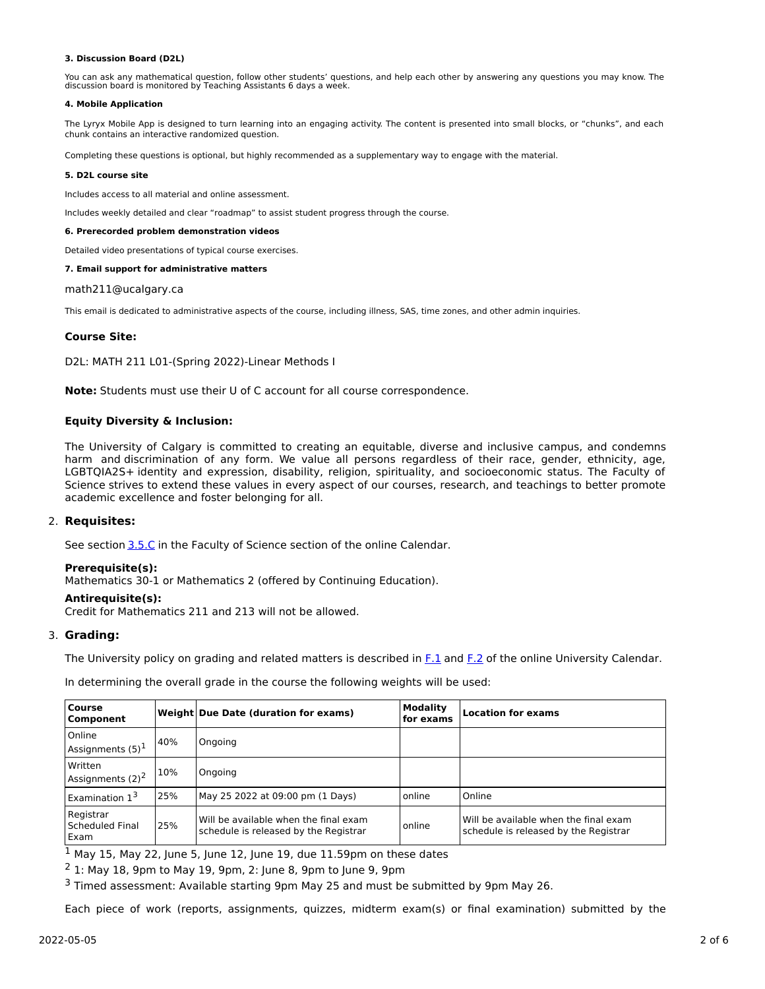#### **3. Discussion Board (D2L)**

You can ask any mathematical question, follow other students' questions, and help each other by answering any questions you may know. The discussion board is monitored by Teaching Assistants 6 days a week.

#### **4. Mobile Application**

The Lyryx Mobile App is designed to turn learning into an engaging activity. The content is presented into small blocks, or "chunks", and each chunk contains an interactive randomized question.

Completing these questions is optional, but highly recommended as a supplementary way to engage with the material.

#### **5. D2L course site**

Includes access to all material and online assessment.

Includes weekly detailed and clear "roadmap" to assist student progress through the course.

#### **6. Prerecorded problem demonstration videos**

Detailed video presentations of typical course exercises.

#### **7. Email support for administrative matters**

math211@ucalgary.ca

This email is dedicated to administrative aspects of the course, including illness, SAS, time zones, and other admin inquiries.

#### **Course Site:**

D2L: MATH 211 L01-(Spring 2022)-Linear Methods I

**Note:** Students must use their U of C account for all course correspondence.

### **Equity Diversity & Inclusion:**

The University of Calgary is committed to creating an equitable, diverse and inclusive campus, and condemns harm and discrimination of any form. We value all persons regardless of their race, gender, ethnicity, age, LGBTQIA2S+ identity and expression, disability, religion, spirituality, and socioeconomic status. The Faculty of Science strives to extend these values in every aspect of our courses, research, and teachings to better promote academic excellence and foster belonging for all.

## 2. **Requisites:**

See section [3.5.C](http://www.ucalgary.ca/pubs/calendar/current/sc-3-5.html) in the Faculty of Science section of the online Calendar.

## **Prerequisite(s):**

Mathematics 30-1 or Mathematics 2 (offered by Continuing Education).

### **Antirequisite(s):**

Credit for Mathematics 211 and 213 will not be allowed.

### 3. **Grading:**

The University policy on grading and related matters is described in [F.1](http://www.ucalgary.ca/pubs/calendar/current/f-1.html) and [F.2](http://www.ucalgary.ca/pubs/calendar/current/f-2.html) of the online University Calendar.

In determining the overall grade in the course the following weights will be used:

| <b>Course</b><br><b>Component</b>       |     | Weight Due Date (duration for exams)                                           | Modality<br>for exams | <b>Location for exams</b>                                                      |
|-----------------------------------------|-----|--------------------------------------------------------------------------------|-----------------------|--------------------------------------------------------------------------------|
| Online<br>Assignments $(5)^1$           | 40% | Ongoing                                                                        |                       |                                                                                |
| Written<br>Assignments (2) <sup>2</sup> | 10% | Ongoing                                                                        |                       |                                                                                |
| Examination 1 <sup>3</sup>              | 25% | May 25 2022 at 09:00 pm (1 Days)                                               | online                | Online                                                                         |
| Registrar<br>Scheduled Final<br>Exam    | 25% | Will be available when the final exam<br>schedule is released by the Registrar | online                | Will be available when the final exam<br>schedule is released by the Registrar |

 $1$  May 15, May 22, June 5, June 12, June 19, due 11.59pm on these dates

 $2$  1: May 18, 9pm to May 19, 9pm, 2: June 8, 9pm to June 9, 9pm

<sup>3</sup> Timed assessment: Available starting 9pm May 25 and must be submitted by 9pm May 26.

Each piece of work (reports, assignments, quizzes, midterm exam(s) or final examination) submitted by the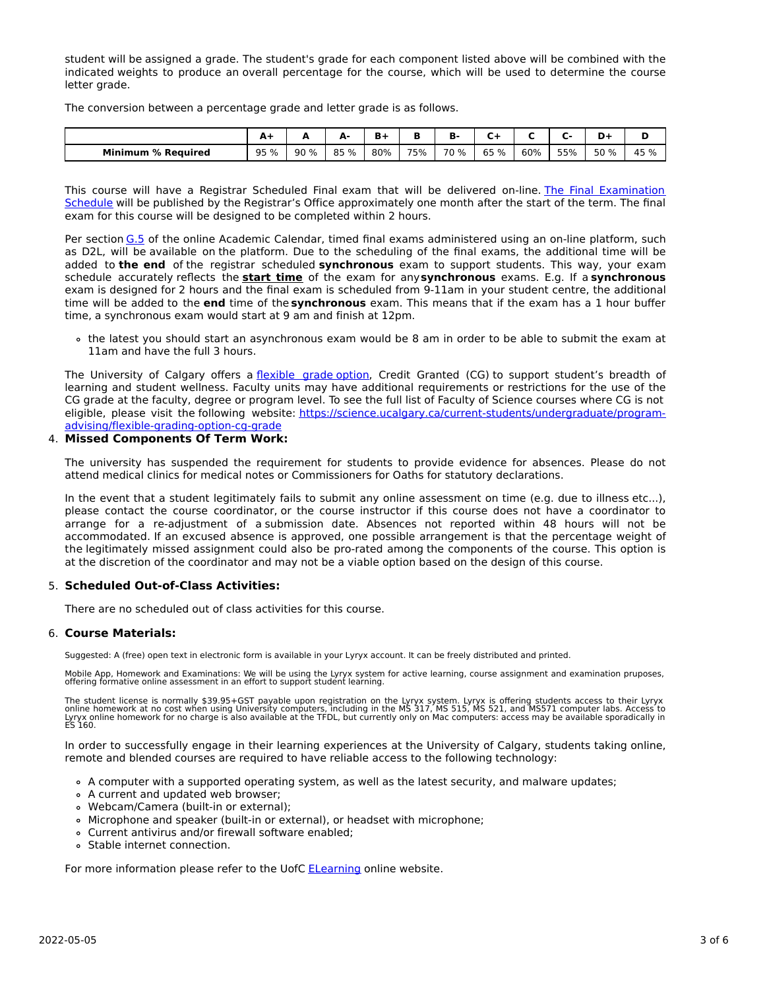student will be assigned a grade. The student's grade for each component listed above will be combined with the indicated weights to produce an overall percentage for the course, which will be used to determine the course letter grade.

The conversion between a percentage grade and letter grade is as follows.

|                           | <u>л</u> |      | А-   |     |     | в.   |      |     |     |      |      |
|---------------------------|----------|------|------|-----|-----|------|------|-----|-----|------|------|
| <b>Minimum % Required</b> | 95 %     | 90 % | 85 % | 80% | 75% | 70 % | 65 % | 60% | 55% | 50 % | 45 % |

This course will have a Registrar Scheduled Final exam that will be delivered on-line. The Final Examination Schedule will be published by the Registrar's Office [approximately](https://www.ucalgary.ca/registrar/exams) one month after the start of the term. The final exam for this course will be designed to be completed within 2 hours.

Per section [G.5](https://www.ucalgary.ca/pubs/calendar/current/g-5.html) of the online Academic Calendar, timed final exams administered using an on-line platform, such as D2L, will be available on the platform. Due to the scheduling of the final exams, the additional time will be added to **the end** of the registrar scheduled **synchronous** exam to support students. This way, your exam schedule accurately reflects the **start time** of the exam for any**synchronous** exams. E.g. If a **synchronous** exam is designed for 2 hours and the final exam is scheduled from 9-11am in your student centre, the additional time will be added to the **end** time of the **synchronous** exam. This means that if the exam has a 1 hour buffer time, a synchronous exam would start at 9 am and finish at 12pm.

the latest you should start an asynchronous exam would be 8 am in order to be able to submit the exam at 11am and have the full 3 hours.

The University of Calgary offers a [flexible](https://www.ucalgary.ca/pubs/calendar/current/f-1-3.html) grade option, Credit Granted (CG) to support student's breadth of learning and student wellness. Faculty units may have additional requirements or restrictions for the use of the CG grade at the faculty, degree or program level. To see the full list of Faculty of Science courses where CG is not eligible, please visit the following website: [https://science.ucalgary.ca/current-students/undergraduate/program](https://science.ucalgary.ca/current-students/undergraduate/program-advising/flexible-grading-option-cg-grade)advising/flexible-grading-option-cg-grade

# 4. **Missed Components Of Term Work:**

The university has suspended the requirement for students to provide evidence for absences. Please do not attend medical clinics for medical notes or Commissioners for Oaths for statutory declarations.

In the event that a student legitimately fails to submit any online assessment on time (e.g. due to illness etc...), please contact the course coordinator, or the course instructor if this course does not have a coordinator to arrange for a re-adjustment of a submission date. Absences not reported within 48 hours will not be accommodated. If an excused absence is approved, one possible arrangement is that the percentage weight of the legitimately missed assignment could also be pro-rated among the components of the course. This option is at the discretion of the coordinator and may not be a viable option based on the design of this course.

## 5. **Scheduled Out-of-Class Activities:**

There are no scheduled out of class activities for this course.

### 6. **Course Materials:**

Suggested: A (free) open text in electronic form is available in your Lyryx account. It can be freely distributed and printed.

Mobile App, Homework and Examinations: We will be using the Lyryx system for active learning, course assignment and examination pruposes, offering formative online assessment in an effort to support student learning.

The student license is normally \$39.95+GST payable upon registration on the Lyryx system. Lyryx is offering students access to their Lyryx<br>online homework at no cost when using University computers, including in the MS 317

In order to successfully engage in their learning experiences at the University of Calgary, students taking online, remote and blended courses are required to have reliable access to the following technology:

- A computer with a supported operating system, as well as the latest security, and malware updates;
- A current and updated web browser;
- Webcam/Camera (built-in or external);
- Microphone and speaker (built-in or external), or headset with microphone;
- Current antivirus and/or firewall software enabled;
- Stable internet connection.

For more information please refer to the UofC [ELearning](https://elearn.ucalgary.ca/technology-requirements-for-students) online website.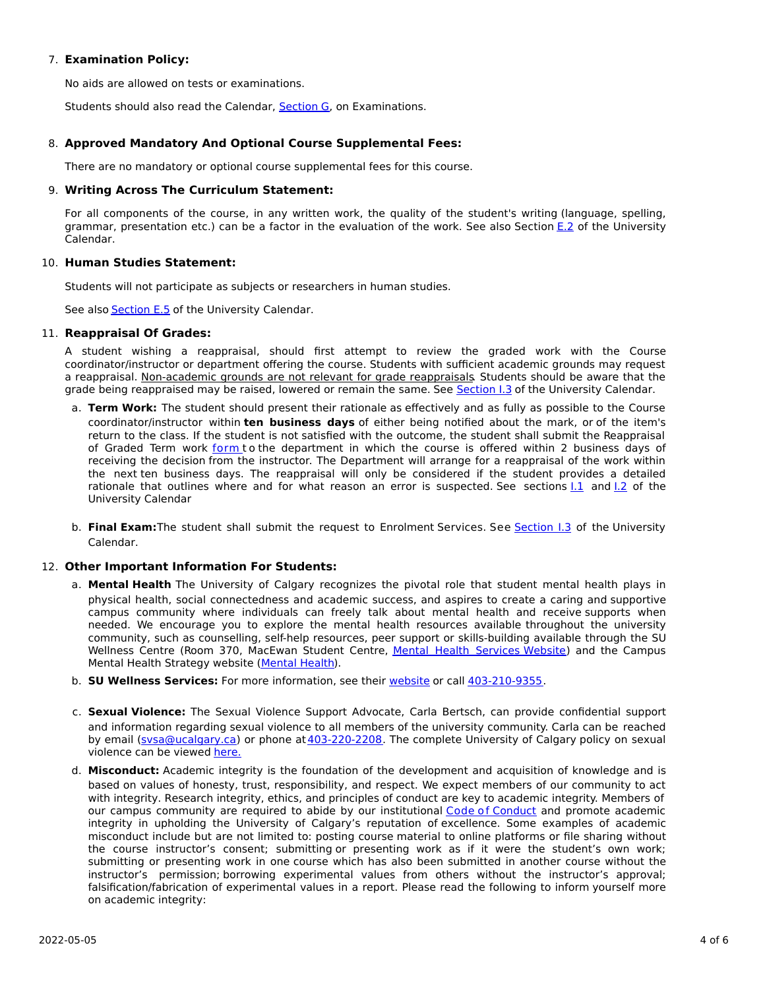# 7. **Examination Policy:**

No aids are allowed on tests or examinations.

Students should also read the Calendar, [Section](http://www.ucalgary.ca/pubs/calendar/current/g.html) G, on Examinations.

# 8. **Approved Mandatory And Optional Course Supplemental Fees:**

There are no mandatory or optional course supplemental fees for this course.

## 9. **Writing Across The Curriculum Statement:**

For all components of the course, in any written work, the quality of the student's writing (language, spelling, grammar, presentation etc.) can be a factor in the evaluation of the work. See also Section [E.2](http://www.ucalgary.ca/pubs/calendar/current/e-2.html) of the University Calendar.

## 10. **Human Studies Statement:**

Students will not participate as subjects or researchers in human studies.

See also **[Section](http://www.ucalgary.ca/pubs/calendar/current/e-5.html) E.5** of the University Calendar.

## 11. **Reappraisal Of Grades:**

A student wishing a reappraisal, should first attempt to review the graded work with the Course coordinator/instructor or department offering the course. Students with sufficient academic grounds may request a reappraisal. Non-academic grounds are not relevant for grade reappraisals. Students should be aware that the grade being reappraised may be raised, lowered or remain the same. See [Section](http://www.ucalgary.ca/pubs/calendar/current/i-3.html) I.3 of the University Calendar.

- a. **Term Work:** The student should present their rationale as effectively and as fully as possible to the Course coordinator/instructor within **ten business days** of either being notified about the mark, or of the item's return to the class. If the student is not satisfied with the outcome, the student shall submit the Reappraisal of Graded Term work [form](https://science.ucalgary.ca/sites/default/files/teams/1/Reappraisal_Termwork_2021.pdf) to the department in which the course is offered within 2 business days of receiving the decision from the instructor. The Department will arrange for a reappraisal of the work within the next ten business days. The reappraisal will only be considered if the student provides a detailed rationale that outlines where and for what reason an error is suspected. See sections  $1.1$  and  $1.2$  of the University Calendar
- b. **Final Exam:**The student shall submit the request to Enrolment Services. See [Section](http://www.ucalgary.ca/pubs/calendar/current/i-3.html) I.3 of the University Calendar.

## 12. **Other Important Information For Students:**

- a. **Mental Health** The University of Calgary recognizes the pivotal role that student mental health plays in physical health, social connectedness and academic success, and aspires to create a caring and supportive campus community where individuals can freely talk about mental health and receive supports when needed. We encourage you to explore the mental health resources available throughout the university community, such as counselling, self-help resources, peer support or skills-building available through the SU Wellness Centre (Room 370, MacEwan Student Centre, Mental Health [Services](https://www.ucalgary.ca/wellnesscentre/services/mental-health-services) Website) and the Campus Mental Health Strategy website [\(Mental](http://www.ucalgary.ca/mentalhealth) Health).
- b. **SU Wellness Services:** For more information, see their [website](http://www.ucalgary.ca/wellnesscentre) or call [403-210-9355](tel:4032109355).
- c. **Sexual Violence:** The Sexual Violence Support Advocate, Carla Bertsch, can provide confidential support and information regarding sexual violence to all members of the university community. Carla can be reached by email [\(svsa@ucalgary.ca](mailto:svsa@ucalgary.ca)) or phone at [403-220-2208](tel:4032202208). The complete University of Calgary policy on sexual violence can be viewed [here.](https://www.ucalgary.ca/legal-services/sites/default/files/teams/1/Policies-Sexual-and-Gender-Based-Violence-Policy.pdf)
- d. **Misconduct:** Academic integrity is the foundation of the development and acquisition of knowledge and is based on values of honesty, trust, responsibility, and respect. We expect members of our community to act with integrity. Research integrity, ethics, and principles of conduct are key to academic integrity. Members of our campus community are required to abide by our institutional Code of [Conduct](https://www.ucalgary.ca/legal-services/sites/default/files/teams/1/Policies-Code-of-Conduct.pdf) and promote academic integrity in upholding the University of Calgary's reputation of excellence. Some examples of academic misconduct include but are not limited to: posting course material to online platforms or file sharing without the course instructor's consent; submitting or presenting work as if it were the student's own work; submitting or presenting work in one course which has also been submitted in another course without the instructor's permission; borrowing experimental values from others without the instructor's approval; falsification/fabrication of experimental values in a report. Please read the following to inform yourself more on academic integrity: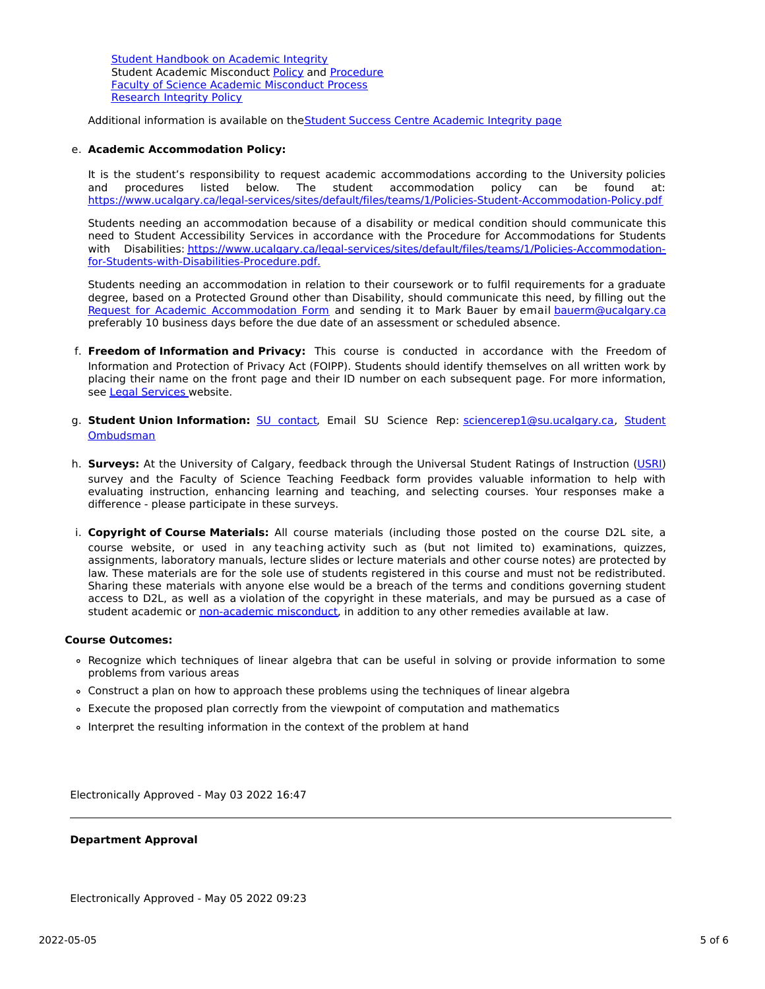Student [Handbook](https://www.ucalgary.ca/live-uc-ucalgary-site/sites/default/files/teams/9/AI-Student-handbook-1.pdf) on Academic Integrity Student Academic Misconduct [Policy](https://www.ucalgary.ca/legal-services/sites/default/files/teams/1/Policies-Student-Academic-Misconduct-Policy.pdf) and [Procedure](https://www.ucalgary.ca/legal-services/sites/default/files/teams/1/Policies-Student-Academic-Misconduct-Procedure.pdf) Faculty of Science Academic [Misconduct](https://science.ucalgary.ca/current-students/undergraduate/program-advising) Process [Research](https://www.ucalgary.ca/legal-services/sites/default/files/teams/1/Policies-Research-Integrity-Policy.pdf) Integrity Policy

Additional information is available on the Student Success Centre [Academic](https://ucalgary.ca/student-services/student-success/learning/academic-integrity) Integrity page

## e. **Academic Accommodation Policy:**

It is the student's responsibility to request academic accommodations according to the University policies and procedures listed below. The student accommodation policy can be found at: <https://www.ucalgary.ca/legal-services/sites/default/files/teams/1/Policies-Student-Accommodation-Policy.pdf>

Students needing an accommodation because of a disability or medical condition should communicate this need to Student Accessibility Services in accordance with the Procedure for Accommodations for Students with Disabilities: [https://www.ucalgary.ca/legal-services/sites/default/files/teams/1/Policies-Accommodation](https://www.ucalgary.ca/legal-services/sites/default/files/teams/1/Policies-Accommodation-for-Students-with-Disabilities-Procedure.pdf)for-Students-with-Disabilities-Procedure.pdf.

Students needing an accommodation in relation to their coursework or to fulfil requirements for a graduate degree, based on a Protected Ground other than Disability, should communicate this need, by filling out the Request for Academic [Accommodation](https://science.ucalgary.ca/sites/default/files/teams/1/request-accommodation-academic-courses.pdf) Form and sending it to Mark Bauer by email [bauerm@ucalgary.ca](mailto:bauerm@ucalgary.ca) preferably 10 business days before the due date of an assessment or scheduled absence.

- f. **Freedom of Information and Privacy:** This course is conducted in accordance with the Freedom of Information and Protection of Privacy Act (FOIPP). Students should identify themselves on all written work by placing their name on the front page and their ID number on each subsequent page. For more information, see Legal [Services](https://www.ucalgary.ca/legal-services/access-information-privacy) website.
- g. **Student Union Information:** SU [contact,](http://www.su.ucalgary.ca/contact) Email SU Science Rep: [sciencerep1@su.ucalgary.ca,](https://www.ucalgary.ca/student-services/ombuds) Student Ombudsman
- h. **Surveys:** At the University of Calgary, feedback through the Universal Student Ratings of Instruction [\(USRI](http://www.ucalgary.ca/usri)) survey and the Faculty of Science Teaching Feedback form provides valuable information to help with evaluating instruction, enhancing learning and teaching, and selecting courses. Your responses make a difference - please participate in these surveys.
- i. **Copyright of Course Materials:** All course materials (including those posted on the course D2L site, a course website, or used in any teaching activity such as (but not limited to) examinations, quizzes, assignments, laboratory manuals, lecture slides or lecture materials and other course notes) are protected by law. These materials are for the sole use of students registered in this course and must not be redistributed. Sharing these materials with anyone else would be a breach of the terms and conditions governing student access to D2L, as well as a violation of the copyright in these materials, and may be pursued as a case of student academic or [non-academic](https://www.ucalgary.ca/conduct/policy/non-academic-misconduct-policy) misconduct, in addition to any other remedies available at law.

### **Course Outcomes:**

- Recognize which techniques of linear algebra that can be useful in solving or provide information to some problems from various areas
- Construct a plan on how to approach these problems using the techniques of linear algebra
- Execute the proposed plan correctly from the viewpoint of computation and mathematics
- Interpret the resulting information in the context of the problem at hand

Electronically Approved - May 03 2022 16:47

## **Department Approval**

Electronically Approved - May 05 2022 09:23